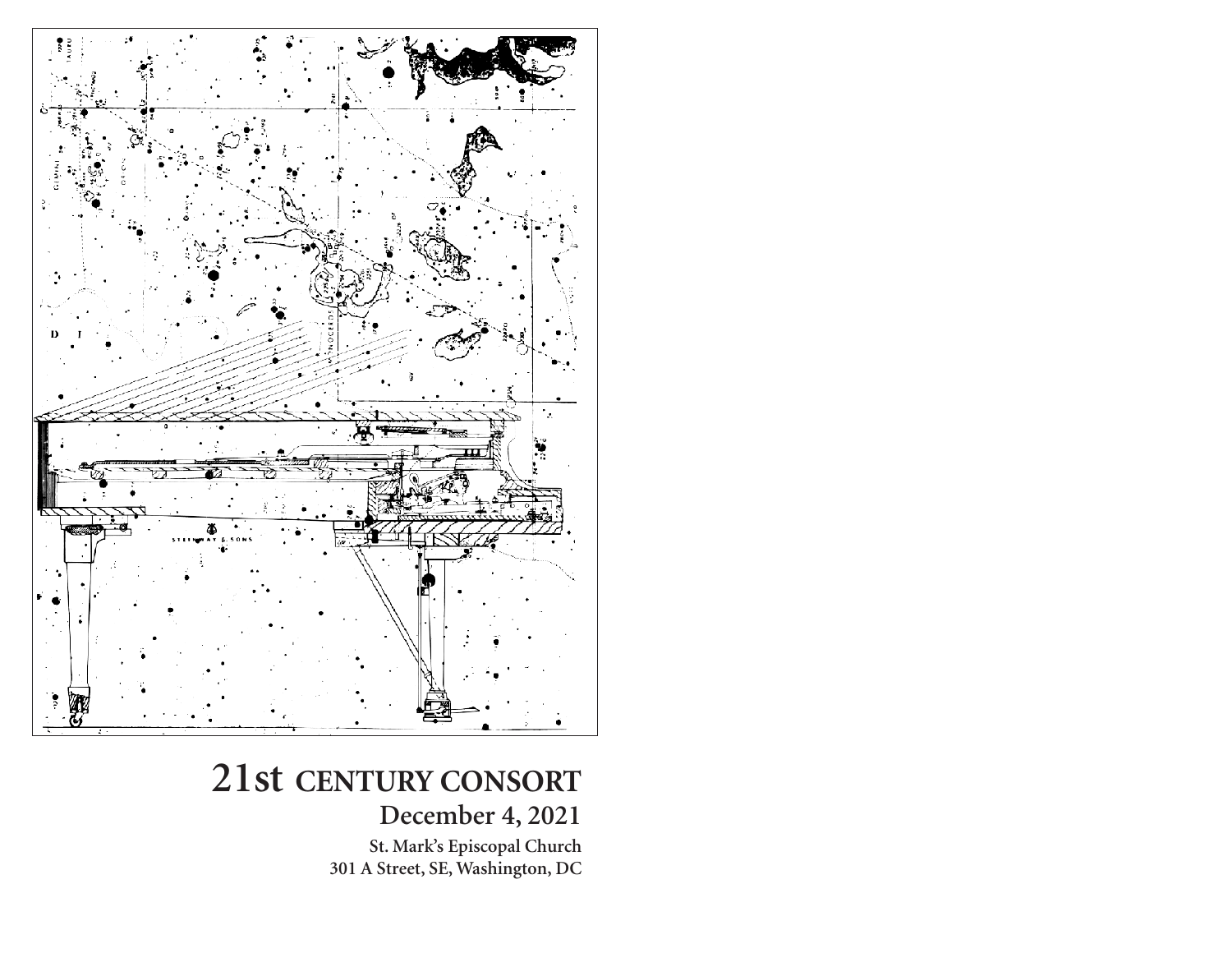

# **21st CENTURY CONSORT December 4, 2021**

**St. Mark's Episcopal Church 301 A Street, SE, Washington, DC**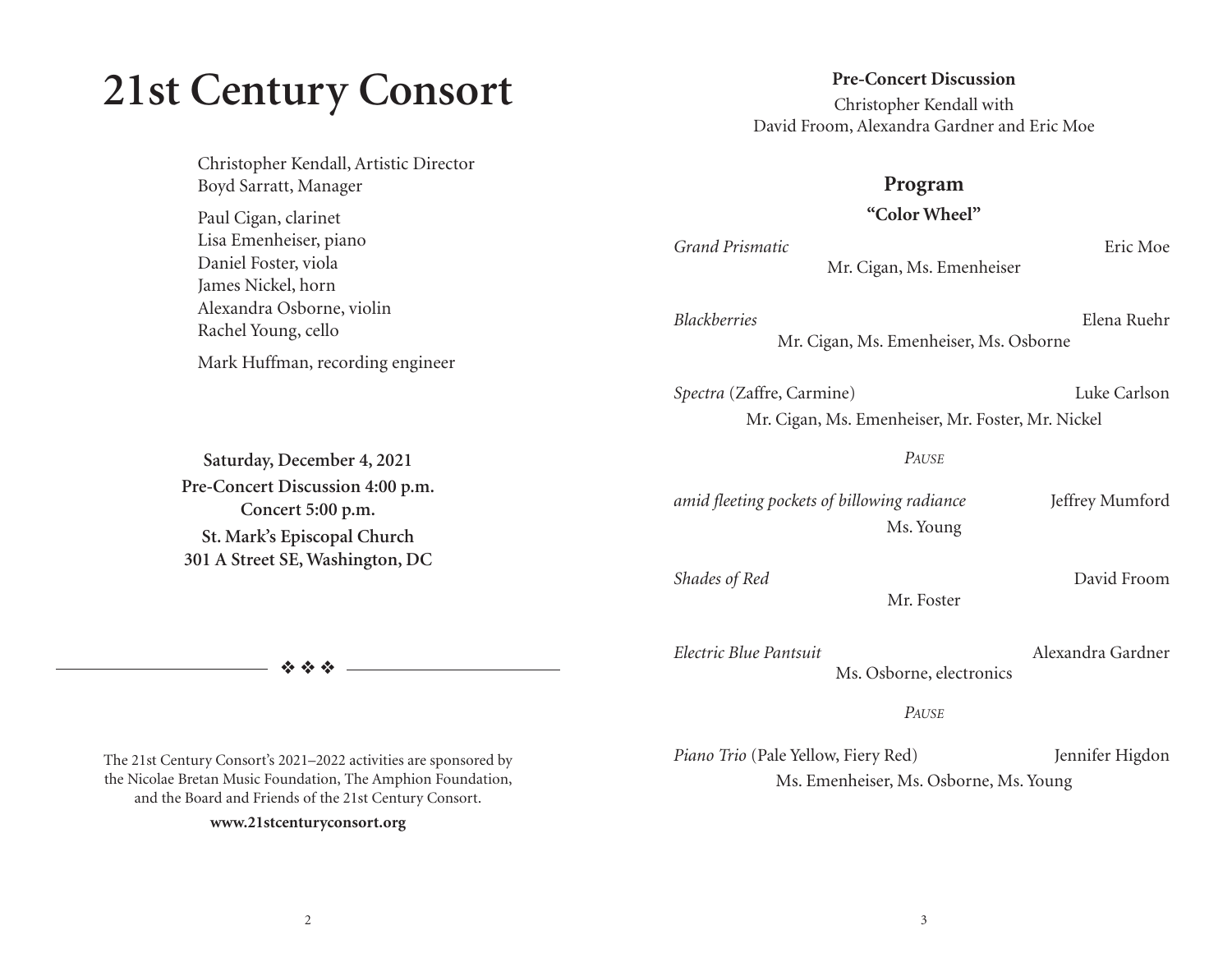# **21st Century Consort**

Christopher Kendall, Artistic Director Boyd Sarratt, Manager

Paul Cigan, clarinet Lisa Emenheiser, piano Daniel Foster, viola James Nickel, horn Alexandra Osborne, violin Rachel Young, cello

Mark Huffman, recording engineer

**Saturday, December 4, 2021 Pre-Concert Discussion 4:00 p.m. Concert 5:00 p.m. St. Mark's Episcopal Church 301 A Street SE, Washington, DC** 

❖ ❖ ❖

The 21st Century Consort's 2021–2022 activities are sponsored by the Nicolae Bretan Music Foundation, The Amphion Foundation, and the Board and Friends of the 21st Century Consort.

#### **www.21stcenturyconsort.org**

**Pre-Concert Discussion** Christopher Kendall with David Froom, Alexandra Gardner and Eric Moe

#### **Program**

**"Color Wheel"**

*Grand Prismatic* Eric Moe Mr. Cigan, Ms. Emenheiser

*Blackberries* Elena Ruehr Mr. Cigan, Ms. Emenheiser, Ms. Osborne

*Spectra* (Zaffre, Carmine) Luke Carlson Mr. Cigan, Ms. Emenheiser, Mr. Foster, Mr. Nickel

*PAUSE*

*amid fleeting pockets of billowing radiance* Jeffrey Mumford Ms. Young

**Shades of Red** David Froom

Mr. Foster

*Electric Blue Pantsuit* Alexandra Gardner Ms. Osborne, electronics

*PAUSE*

Piano Trio (Pale Yellow, Fiery Red) Jennifer Higdon Ms. Emenheiser, Ms. Osborne, Ms. Young

2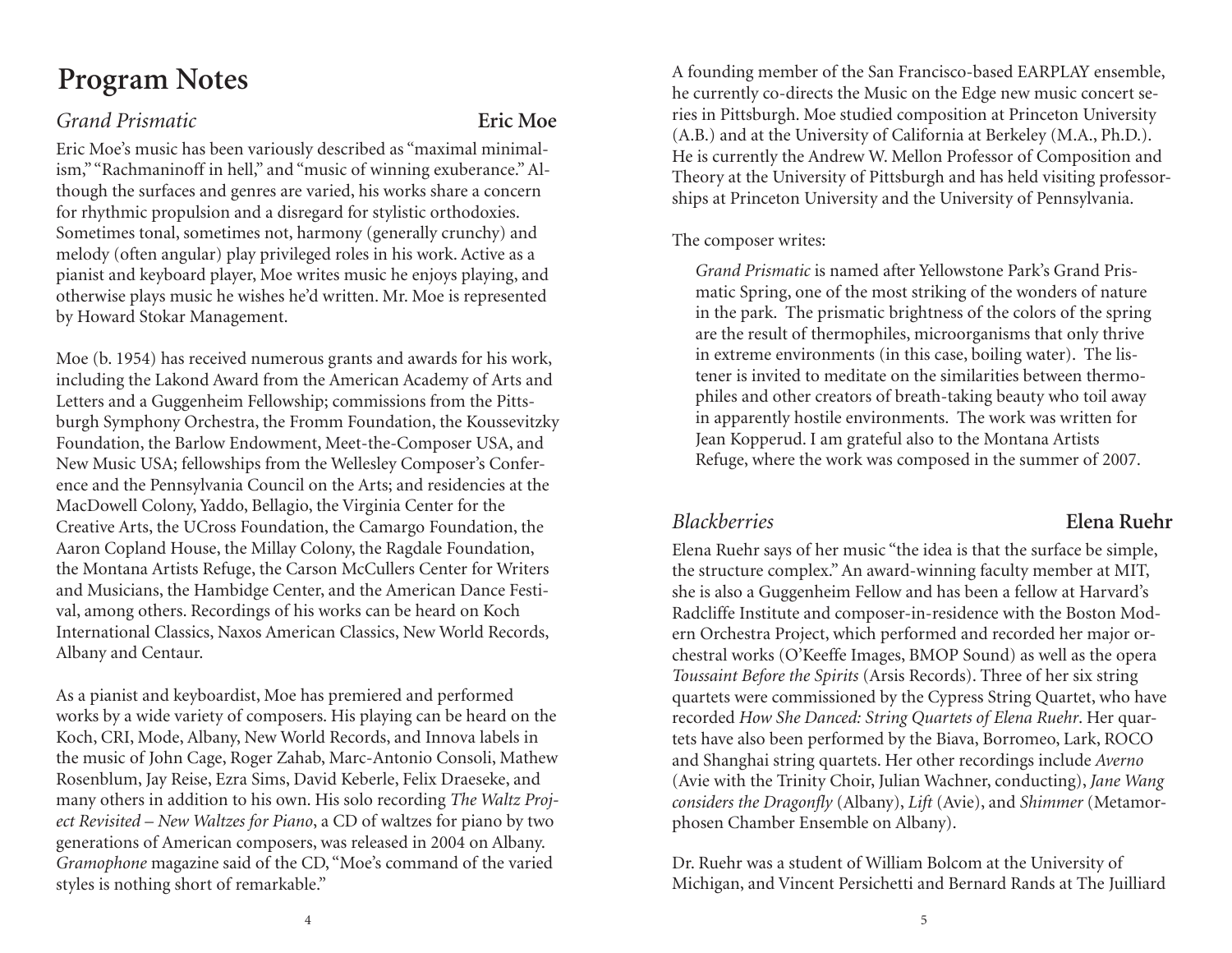# **Program Notes**

#### *Grand Prismatic* **Eric Moe**

Eric Moe's music has been variously described as "maximal minimalism," "Rachmaninoff in hell," and "music of winning exuberance." Although the surfaces and genres are varied, his works share a concern for rhythmic propulsion and a disregard for stylistic orthodoxies. Sometimes tonal, sometimes not, harmony (generally crunchy) and melody (often angular) play privileged roles in his work. Active as a pianist and keyboard player, Moe writes music he enjoys playing, and otherwise plays music he wishes he'd written. Mr. Moe is represented by Howard Stokar Management.

Moe (b. 1954) has received numerous grants and awards for his work, including the Lakond Award from the American Academy of Arts and Letters and a Guggenheim Fellowship; commissions from the Pittsburgh Symphony Orchestra, the Fromm Foundation, the Koussevitzky Foundation, the Barlow Endowment, Meet-the-Composer USA, and New Music USA; fellowships from the Wellesley Composer's Conference and the Pennsylvania Council on the Arts; and residencies at the MacDowell Colony, Yaddo, Bellagio, the Virginia Center for the Creative Arts, the UCross Foundation, the Camargo Foundation, the Aaron Copland House, the Millay Colony, the Ragdale Foundation, the Montana Artists Refuge, the Carson McCullers Center for Writers and Musicians, the Hambidge Center, and the American Dance Festival, among others. Recordings of his works can be heard on Koch International Classics, Naxos American Classics, New World Records, Albany and Centaur.

As a pianist and keyboardist, Moe has premiered and performed works by a wide variety of composers. His playing can be heard on the Koch, CRI, Mode, Albany, New World Records, and Innova labels in the music of John Cage, Roger Zahab, Marc-Antonio Consoli, Mathew Rosenblum, Jay Reise, Ezra Sims, David Keberle, Felix Draeseke, and many others in addition to his own. His solo recording *The Waltz Project Revisited – New Waltzes for Piano*, a CD of waltzes for piano by two generations of American composers, was released in 2004 on Albany. *Gramophone* magazine said of the CD, "Moe's command of the varied styles is nothing short of remarkable."

A founding member of the San Francisco-based EARPLAY ensemble, he currently co-directs the Music on the Edge new music concert series in Pittsburgh. Moe studied composition at Princeton University (A.B.) and at the University of California at Berkeley (M.A., Ph.D.). He is currently the Andrew W. Mellon Professor of Composition and Theory at the University of Pittsburgh and has held visiting professorships at Princeton University and the University of Pennsylvania.

#### The composer writes:

*Grand Prismatic* is named after Yellowstone Park's Grand Prismatic Spring, one of the most striking of the wonders of nature in the park. The prismatic brightness of the colors of the spring are the result of thermophiles, microorganisms that only thrive in extreme environments (in this case, boiling water). The listener is invited to meditate on the similarities between thermophiles and other creators of breath-taking beauty who toil away in apparently hostile environments. The work was written for Jean Kopperud. I am grateful also to the Montana Artists Refuge, where the work was composed in the summer of 2007.

Elena Ruehr says of her music "the idea is that the surface be simple, the structure complex." An award-winning faculty member at MIT, she is also a Guggenheim Fellow and has been a fellow at Harvard's Radcliffe Institute and composer-in-residence with the Boston Modern Orchestra Project, which performed and recorded her major orchestral works (O'Keeffe Images, BMOP Sound) as well as the opera *Toussaint Before the Spirits* (Arsis Records). Three of her six string quartets were commissioned by the Cypress String Quartet, who have recorded *How She Danced: String Quartets of Elena Ruehr*. Her quartets have also been performed by the Biava, Borromeo, Lark, ROCO and Shanghai string quartets. Her other recordings include *Averno* (Avie with the Trinity Choir, Julian Wachner, conducting), *Jane Wang considers the Dragonfly* (Albany), *Lift* (Avie), and *Shimmer* (Metamorphosen Chamber Ensemble on Albany).

Dr. Ruehr was a student of William Bolcom at the University of Michigan, and Vincent Persichetti and Bernard Rands at The Juilliard

### *Blackberries* **Elena Ruehr**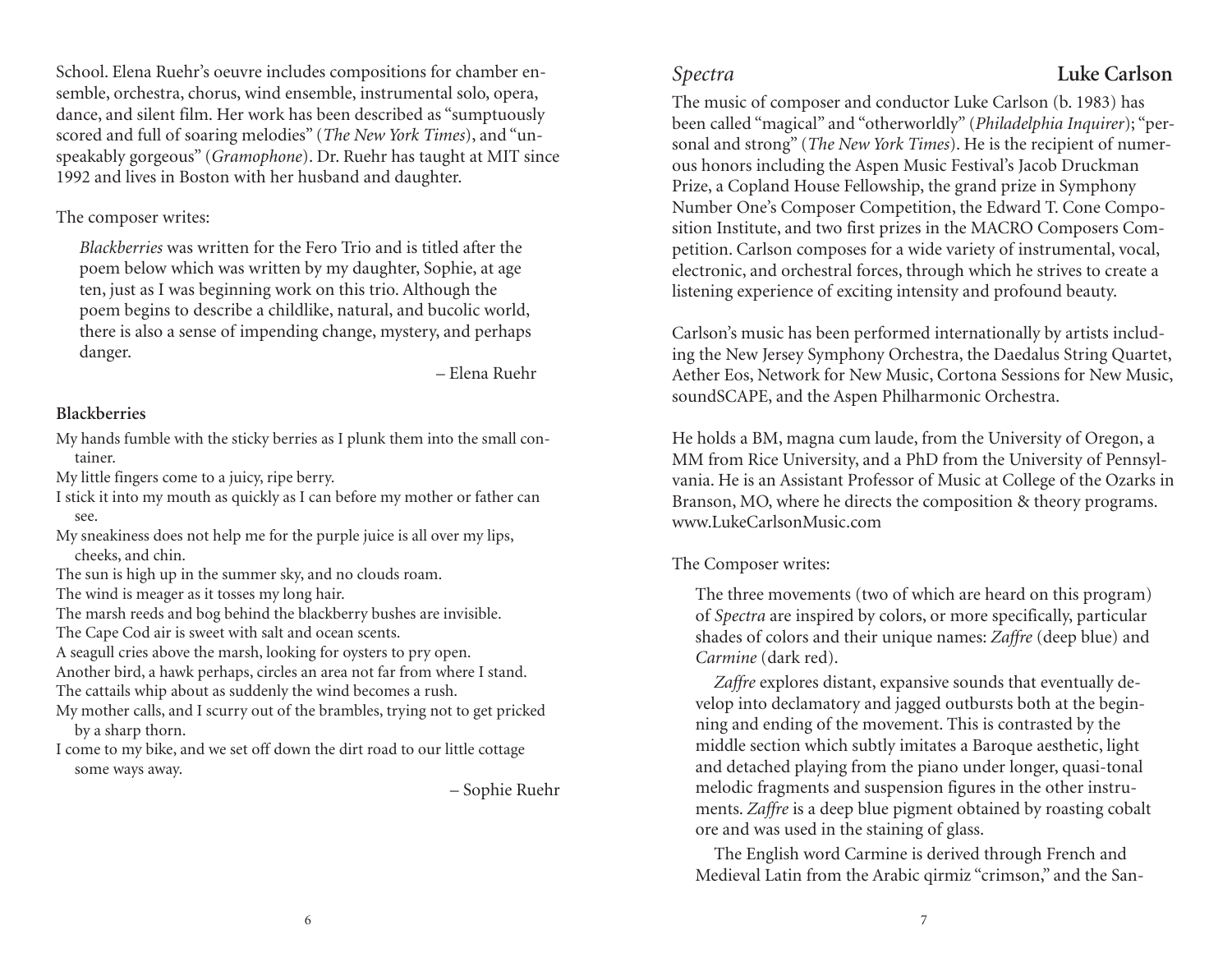School. Elena Ruehr's oeuvre includes compositions for chamber ensemble, orchestra, chorus, wind ensemble, instrumental solo, opera, dance, and silent film. Her work has been described as "sumptuously scored and full of soaring melodies" (*The New York Times*), and "unspeakably gorgeous" (*Gramophone*). Dr. Ruehr has taught at MIT since 1992 and lives in Boston with her husband and daughter.

#### The composer writes:

*Blackberries* was written for the Fero Trio and is titled after the poem below which was written by my daughter, Sophie, at age ten, just as I was beginning work on this trio. Although the poem begins to describe a childlike, natural, and bucolic world, there is also a sense of impending change, mystery, and perhaps danger.

– Elena Ruehr

#### **Blackberries**

My hands fumble with the sticky berries as I plunk them into the small container.

My little fingers come to a juicy, ripe berry.

- I stick it into my mouth as quickly as I can before my mother or father can see.
- My sneakiness does not help me for the purple juice is all over my lips, cheeks, and chin.
- The sun is high up in the summer sky, and no clouds roam.
- The wind is meager as it tosses my long hair.
- The marsh reeds and bog behind the blackberry bushes are invisible.
- The Cape Cod air is sweet with salt and ocean scents.

A seagull cries above the marsh, looking for oysters to pry open.

Another bird, a hawk perhaps, circles an area not far from where I stand. The cattails whip about as suddenly the wind becomes a rush.

My mother calls, and I scurry out of the brambles, trying not to get pricked by a sharp thorn.

I come to my bike, and we set off down the dirt road to our little cottage some ways away.

– Sophie Ruehr

## *Spectra* **Luke Carlson**

The music of composer and conductor Luke Carlson (b. 1983) has been called "magical" and "otherworldly" (*Philadelphia Inquirer*); "personal and strong" (*The New York Times*). He is the recipient of numerous honors including the Aspen Music Festival's Jacob Druckman Prize, a Copland House Fellowship, the grand prize in Symphony Number One's Composer Competition, the Edward T. Cone Composition Institute, and two first prizes in the MACRO Composers Competition. Carlson composes for a wide variety of instrumental, vocal, electronic, and orchestral forces, through which he strives to create a listening experience of exciting intensity and profound beauty.

Carlson's music has been performed internationally by artists including the New Jersey Symphony Orchestra, the Daedalus String Quartet, Aether Eos, Network for New Music, Cortona Sessions for New Music, soundSCAPE, and the Aspen Philharmonic Orchestra.

He holds a BM, magna cum laude, from the University of Oregon, a MM from Rice University, and a PhD from the University of Pennsylvania. He is an Assistant Professor of Music at College of the Ozarks in Branson, MO, where he directs the composition & theory programs. www.LukeCarlsonMusic.com

#### The Composer writes:

The three movements (two of which are heard on this program) of *Spectra* are inspired by colors, or more specifically, particular shades of colors and their unique names: *Zaffre* (deep blue) and *Carmine* (dark red).

*Zaffre* explores distant, expansive sounds that eventually develop into declamatory and jagged outbursts both at the beginning and ending of the movement. This is contrasted by the middle section which subtly imitates a Baroque aesthetic, light and detached playing from the piano under longer, quasi-tonal melodic fragments and suspension figures in the other instruments. *Zaffre* is a deep blue pigment obtained by roasting cobalt ore and was used in the staining of glass.

The English word Carmine is derived through French and Medieval Latin from the Arabic qirmiz "crimson," and the San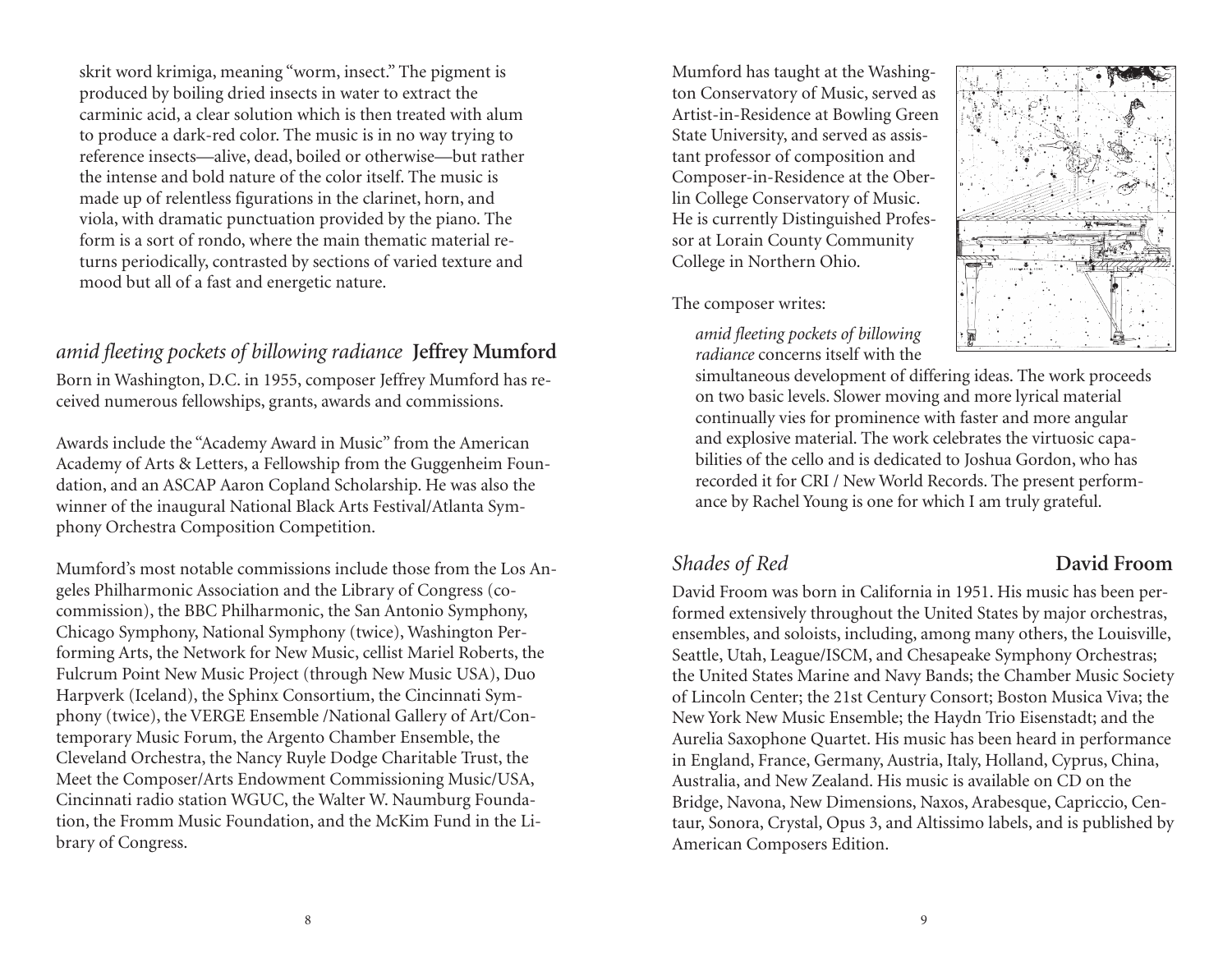skrit word krimiga, meaning "worm, insect." The pigment is produced by boiling dried insects in water to extract the carminic acid, a clear solution which is then treated with alum to produce a dark-red color. The music is in no way trying to reference insects—alive, dead, boiled or otherwise—but rather the intense and bold nature of the color itself. The music is made up of relentless figurations in the clarinet, horn, and viola, with dramatic punctuation provided by the piano. The form is a sort of rondo, where the main thematic material returns periodically, contrasted by sections of varied texture and mood but all of a fast and energetic nature.

### *amid fleeting pockets of billowing radiance* **Jeffrey Mumford**

Born in Washington, D.C. in 1955, composer Jeffrey Mumford has received numerous fellowships, grants, awards and commissions.

Awards include the "Academy Award in Music" from the American Academy of Arts & Letters, a Fellowship from the Guggenheim Foundation, and an ASCAP Aaron Copland Scholarship. He was also the winner of the inaugural National Black Arts Festival/Atlanta Symphony Orchestra Composition Competition.

Mumford's most notable commissions include those from the Los Angeles Philharmonic Association and the Library of Congress (cocommission), the BBC Philharmonic, the San Antonio Symphony, Chicago Symphony, National Symphony (twice), Washington Performing Arts, the Network for New Music, cellist Mariel Roberts, the Fulcrum Point New Music Project (through New Music USA), Duo Harpverk (Iceland), the Sphinx Consortium, the Cincinnati Symphony (twice), the VERGE Ensemble /National Gallery of Art/Contemporary Music Forum, the Argento Chamber Ensemble, the Cleveland Orchestra, the Nancy Ruyle Dodge Charitable Trust, the Meet the Composer/Arts Endowment Commissioning Music/USA, Cincinnati radio station WGUC, the Walter W. Naumburg Foundation, the Fromm Music Foundation, and the McKim Fund in the Library of Congress.

Mumford has taught at the Washington Conservatory of Music, served as Artist-in-Residence at Bowling Green State University, and served as assistant professor of composition and Composer-in-Residence at the Oberlin College Conservatory of Music. He is currently Distinguished Professor at Lorain County Community College in Northern Ohio.

The composer writes:

*amid fleeting pockets of billowing radiance* concerns itself with the



simultaneous development of differing ideas. The work proceeds on two basic levels. Slower moving and more lyrical material continually vies for prominence with faster and more angular and explosive material. The work celebrates the virtuosic capabilities of the cello and is dedicated to Joshua Gordon, who has recorded it for CRI / New World Records. The present performance by Rachel Young is one for which I am truly grateful.

### *Shades of Red* **David Froom**

David Froom was born in California in 1951. His music has been performed extensively throughout the United States by major orchestras, ensembles, and soloists, including, among many others, the Louisville, Seattle, Utah, League/ISCM, and Chesapeake Symphony Orchestras; the United States Marine and Navy Bands; the Chamber Music Society of Lincoln Center; the 21st Century Consort; Boston Musica Viva; the New York New Music Ensemble; the Haydn Trio Eisenstadt; and the Aurelia Saxophone Quartet. His music has been heard in performance in England, France, Germany, Austria, Italy, Holland, Cyprus, China, Australia, and New Zealand. His music is available on CD on the Bridge, Navona, New Dimensions, Naxos, Arabesque, Capriccio, Centaur, Sonora, Crystal, Opus 3, and Altissimo labels, and is published by American Composers Edition.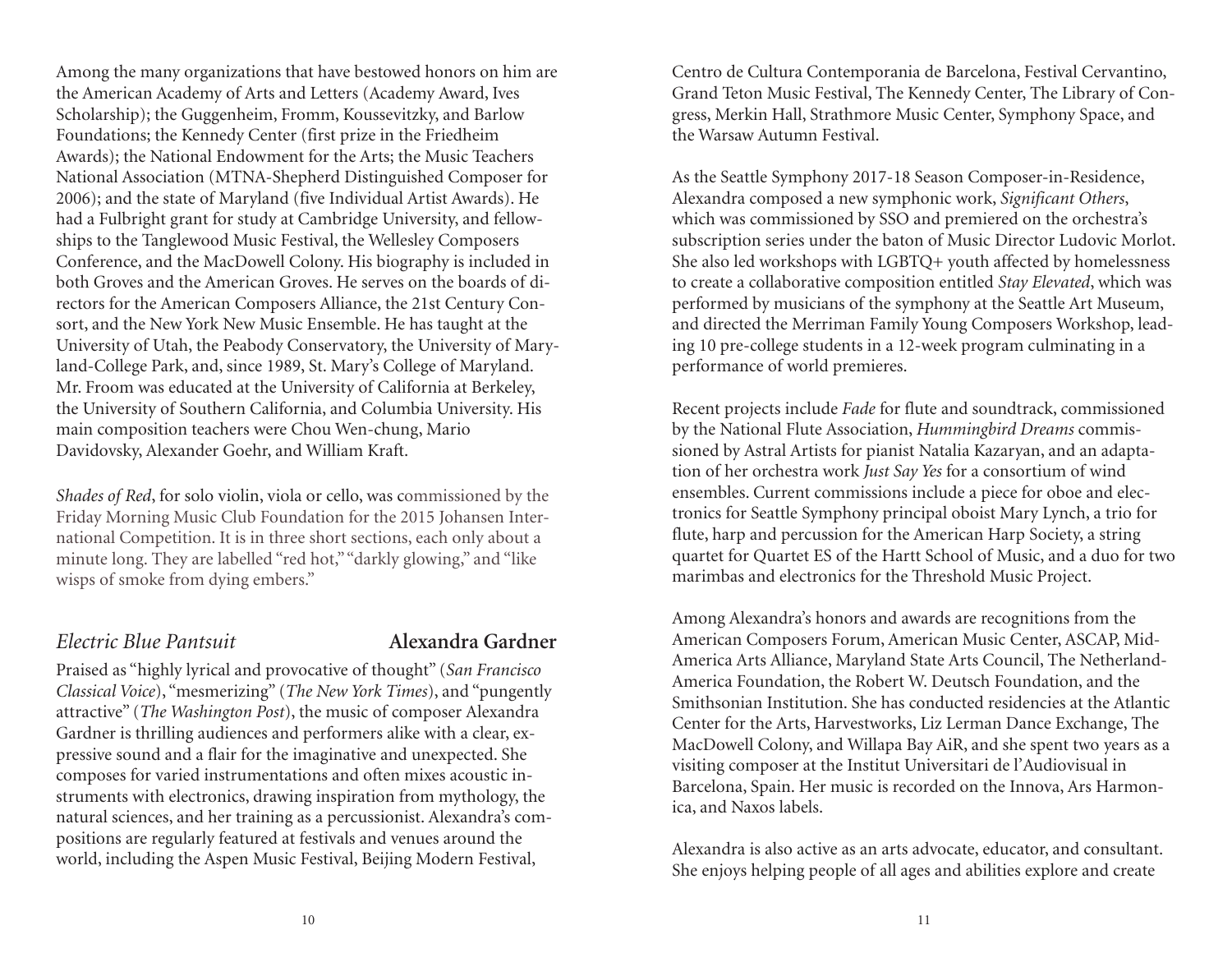Among the many organizations that have bestowed honors on him are the American Academy of Arts and Letters (Academy Award, Ives Scholarship); the Guggenheim, Fromm, Koussevitzky, and Barlow Foundations; the Kennedy Center (first prize in the Friedheim Awards); the National Endowment for the Arts; the Music Teachers National Association (MTNA-Shepherd Distinguished Composer for 2006); and the state of Maryland (five Individual Artist Awards). He had a Fulbright grant for study at Cambridge University, and fellowships to the Tanglewood Music Festival, the Wellesley Composers Conference, and the MacDowell Colony. His biography is included in both Groves and the American Groves. He serves on the boards of directors for the American Composers Alliance, the 21st Century Consort, and the New York New Music Ensemble. He has taught at the University of Utah, the Peabody Conservatory, the University of Maryland-College Park, and, since 1989, St. Mary's College of Maryland. Mr. Froom was educated at the University of California at Berkeley, the University of Southern California, and Columbia University. His main composition teachers were Chou Wen-chung, Mario Davidovsky, Alexander Goehr, and William Kraft.

*Shades of Red*, for solo violin, viola or cello, was commissioned by the Friday Morning Music Club Foundation for the 2015 Johansen International Competition. It is in three short sections, each only about a minute long. They are labelled "red hot," "darkly glowing," and "like wisps of smoke from dying embers."

### *Electric Blue Pantsuit* **Alexandra Gardner**

Praised as "highly lyrical and provocative of thought" (*San Francisco Classical Voice*), "mesmerizing" (*The New York Times*), and "pungently attractive" (*The Washington Post*), the music of composer Alexandra Gardner is thrilling audiences and performers alike with a clear, expressive sound and a flair for the imaginative and unexpected. She composes for varied instrumentations and often mixes acoustic instruments with electronics, drawing inspiration from mythology, the natural sciences, and her training as a percussionist. Alexandra's compositions are regularly featured at festivals and venues around the world, including the Aspen Music Festival, Beijing Modern Festival,

Centro de Cultura Contemporania de Barcelona, Festival Cervantino, Grand Teton Music Festival, The Kennedy Center, The Library of Congress, Merkin Hall, Strathmore Music Center, Symphony Space, and the Warsaw Autumn Festival.

As the Seattle Symphony 2017-18 Season Composer-in-Residence, Alexandra composed a new symphonic work, *Significant Others*, which was commissioned by SSO and premiered on the orchestra's subscription series under the baton of Music Director Ludovic Morlot. She also led workshops with LGBTQ+ youth affected by homelessness to create a collaborative composition entitled *Stay Elevated*, which was performed by musicians of the symphony at the Seattle Art Museum, and directed the Merriman Family Young Composers Workshop, leading 10 pre-college students in a 12-week program culminating in a performance of world premieres.

Recent projects include *Fade* for flute and soundtrack, commissioned by the National Flute Association, *Hummingbird Dreams* commissioned by Astral Artists for pianist Natalia Kazaryan, and an adaptation of her orchestra work *Just Say Yes* for a consortium of wind ensembles. Current commissions include a piece for oboe and electronics for Seattle Symphony principal oboist Mary Lynch, a trio for flute, harp and percussion for the American Harp Society, a string quartet for Quartet ES of the Hartt School of Music, and a duo for two marimbas and electronics for the Threshold Music Project.

Among Alexandra's honors and awards are recognitions from the American Composers Forum, American Music Center, ASCAP, Mid-America Arts Alliance, Maryland State Arts Council, The Netherland-America Foundation, the Robert W. Deutsch Foundation, and the Smithsonian Institution. She has conducted residencies at the Atlantic Center for the Arts, Harvestworks, Liz Lerman Dance Exchange, The MacDowell Colony, and Willapa Bay AiR, and she spent two years as a visiting composer at the Institut Universitari de l'Audiovisual in Barcelona, Spain. Her music is recorded on the Innova, Ars Harmonica, and Naxos labels.

Alexandra is also active as an arts advocate, educator, and consultant. She enjoys helping people of all ages and abilities explore and create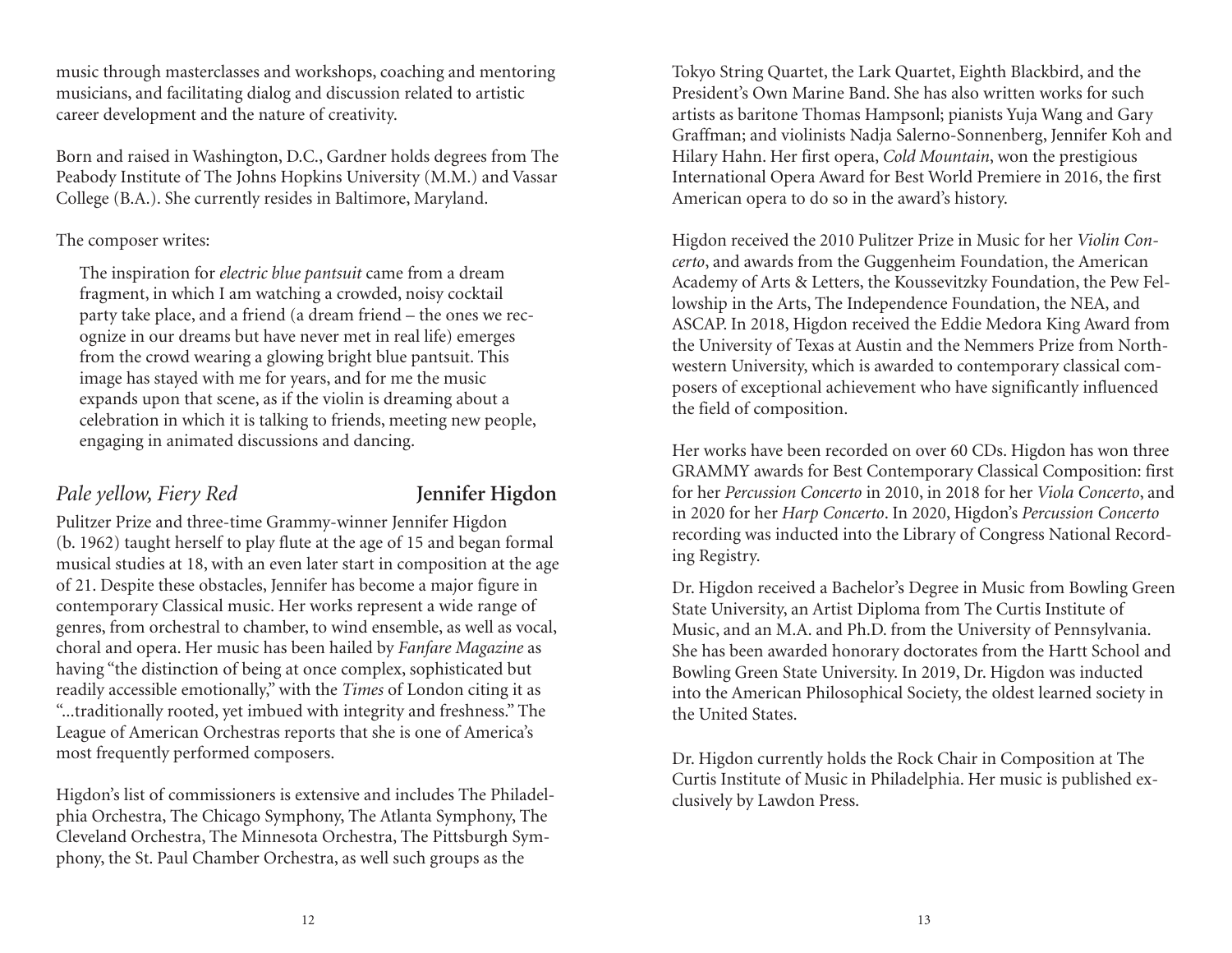music through masterclasses and workshops, coaching and mentoring musicians, and facilitating dialog and discussion related to artistic career development and the nature of creativity.

Born and raised in Washington, D.C., Gardner holds degrees from The Peabody Institute of The Johns Hopkins University (M.M.) and Vassar College (B.A.). She currently resides in Baltimore, Maryland.

#### The composer writes:

The inspiration for *electric blue pantsuit* came from a dream fragment, in which I am watching a crowded, noisy cocktail party take place, and a friend (a dream friend – the ones we recognize in our dreams but have never met in real life) emerges from the crowd wearing a glowing bright blue pantsuit. This image has stayed with me for years, and for me the music expands upon that scene, as if the violin is dreaming about a celebration in which it is talking to friends, meeting new people, engaging in animated discussions and dancing.

### *Pale yellow, Fiery Red* **Jennifer Higdon**

Pulitzer Prize and three-time Grammy-winner Jennifer Higdon (b. 1962) taught herself to play flute at the age of 15 and began formal musical studies at 18, with an even later start in composition at the age of 21. Despite these obstacles, Jennifer has become a major figure in contemporary Classical music. Her works represent a wide range of genres, from orchestral to chamber, to wind ensemble, as well as vocal, choral and opera. Her music has been hailed by *Fanfare Magazine* as having "the distinction of being at once complex, sophisticated but readily accessible emotionally," with the *Times* of London citing it as "...traditionally rooted, yet imbued with integrity and freshness." The League of American Orchestras reports that she is one of America's most frequently performed composers.

Higdon's list of commissioners is extensive and includes The Philadelphia Orchestra, The Chicago Symphony, The Atlanta Symphony, The Cleveland Orchestra, The Minnesota Orchestra, The Pittsburgh Symphony, the St. Paul Chamber Orchestra, as well such groups as the

Tokyo String Quartet, the Lark Quartet, Eighth Blackbird, and the President's Own Marine Band. She has also written works for such artists as baritone Thomas Hampsonl; pianists Yuja Wang and Gary Graffman; and violinists Nadja Salerno-Sonnenberg, Jennifer Koh and Hilary Hahn. Her first opera, *Cold Mountain*, won the prestigious International Opera Award for Best World Premiere in 2016, the first American opera to do so in the award's history.

Higdon received the 2010 Pulitzer Prize in Music for her *Violin Concerto*, and awards from the Guggenheim Foundation, the American Academy of Arts & Letters, the Koussevitzky Foundation, the Pew Fellowship in the Arts, The Independence Foundation, the NEA, and ASCAP. In 2018, Higdon received the Eddie Medora King Award from the University of Texas at Austin and the Nemmers Prize from Northwestern University, which is awarded to contemporary classical composers of exceptional achievement who have significantly influenced the field of composition.

Her works have been recorded on over 60 CDs. Higdon has won three GRAMMY awards for Best Contemporary Classical Composition: first for her *Percussion Concerto* in 2010, in 2018 for her *Viola Concerto*, and in 2020 for her *Harp Concerto*. In 2020, Higdon's *Percussion Concerto* recording was inducted into the Library of Congress National Recording Registry.

Dr. Higdon received a Bachelor's Degree in Music from Bowling Green State University, an Artist Diploma from The Curtis Institute of Music, and an M.A. and Ph.D. from the University of Pennsylvania. She has been awarded honorary doctorates from the Hartt School and Bowling Green State University. In 2019, Dr. Higdon was inducted into the American Philosophical Society, the oldest learned society in the United States.

Dr. Higdon currently holds the Rock Chair in Composition at The Curtis Institute of Music in Philadelphia. Her music is published exclusively by Lawdon Press.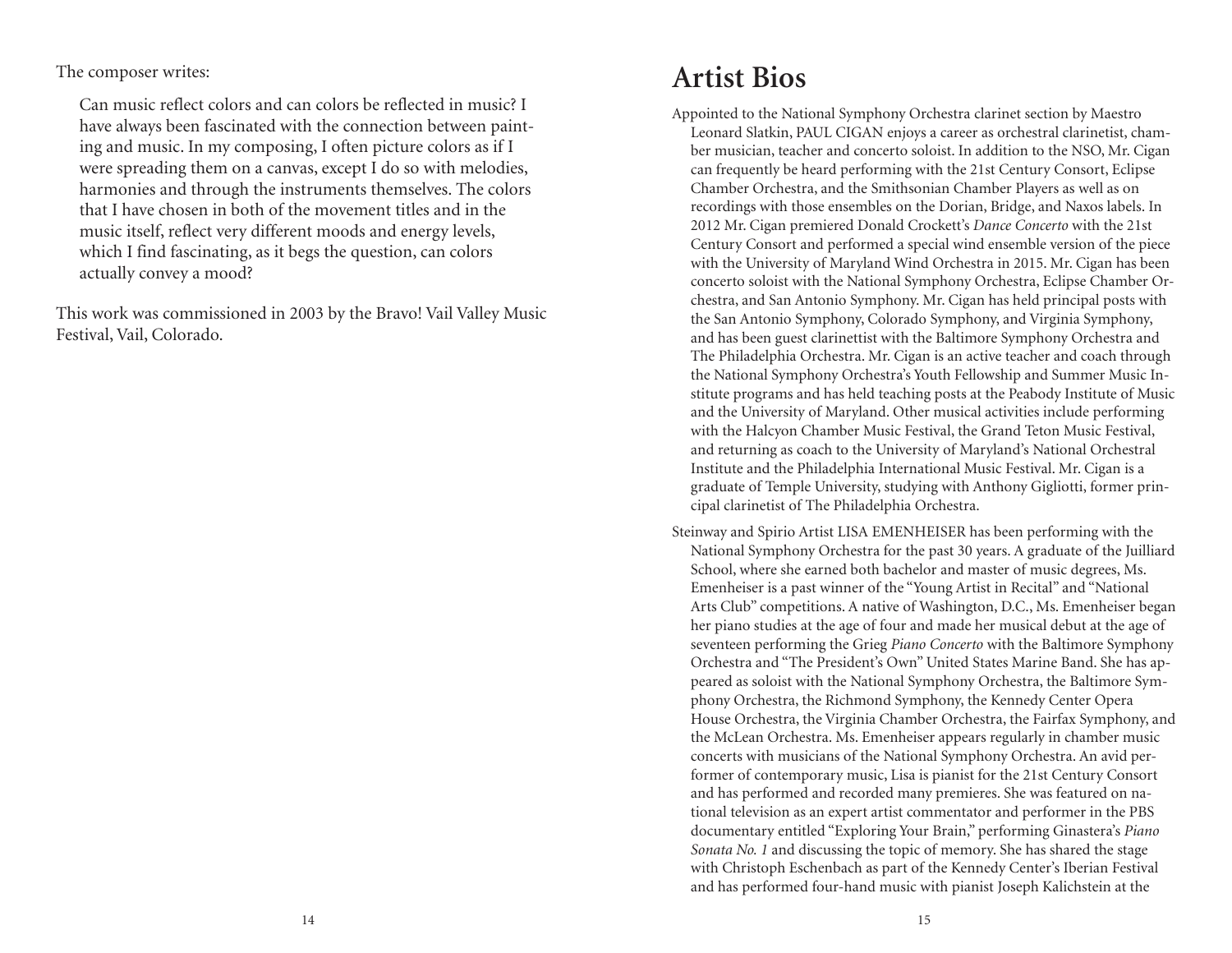The composer writes:

Can music reflect colors and can colors be reflected in music? I have always been fascinated with the connection between painting and music. In my composing, I often picture colors as if I were spreading them on a canvas, except I do so with melodies, harmonies and through the instruments themselves. The colors that I have chosen in both of the movement titles and in the music itself, reflect very different moods and energy levels, which I find fascinating, as it begs the question, can colors actually convey a mood?

This work was commissioned in 2003 by the Bravo! Vail Valley Music Festival, Vail, Colorado.

# **Artist Bios**

- Appointed to the National Symphony Orchestra clarinet section by Maestro Leonard Slatkin, PAUL CIGAN enjoys a career as orchestral clarinetist, chamber musician, teacher and concerto soloist. In addition to the NSO, Mr. Cigan can frequently be heard performing with the 21st Century Consort, Eclipse Chamber Orchestra, and the Smithsonian Chamber Players as well as on recordings with those ensembles on the Dorian, Bridge, and Naxos labels. In 2012 Mr. Cigan premiered Donald Crockett's *Dance Concerto* with the 21st Century Consort and performed a special wind ensemble version of the piece with the University of Maryland Wind Orchestra in 2015. Mr. Cigan has been concerto soloist with the National Symphony Orchestra, Eclipse Chamber Orchestra, and San Antonio Symphony. Mr. Cigan has held principal posts with the San Antonio Symphony, Colorado Symphony, and Virginia Symphony, and has been guest clarinettist with the Baltimore Symphony Orchestra and The Philadelphia Orchestra. Mr. Cigan is an active teacher and coach through the National Symphony Orchestra's Youth Fellowship and Summer Music Institute programs and has held teaching posts at the Peabody Institute of Music and the University of Maryland. Other musical activities include performing with the Halcyon Chamber Music Festival, the Grand Teton Music Festival, and returning as coach to the University of Maryland's National Orchestral Institute and the Philadelphia International Music Festival. Mr. Cigan is a graduate of Temple University, studying with Anthony Gigliotti, former principal clarinetist of The Philadelphia Orchestra.
- Steinway and Spirio Artist LISA EMENHEISER has been performing with the National Symphony Orchestra for the past 30 years. A graduate of the Juilliard School, where she earned both bachelor and master of music degrees, Ms. Emenheiser is a past winner of the "Young Artist in Recital" and "National Arts Club" competitions. A native of Washington, D.C., Ms. Emenheiser began her piano studies at the age of four and made her musical debut at the age of seventeen performing the Grieg *Piano Concerto* with the Baltimore Symphony Orchestra and "The President's Own" United States Marine Band. She has appeared as soloist with the National Symphony Orchestra, the Baltimore Symphony Orchestra, the Richmond Symphony, the Kennedy Center Opera House Orchestra, the Virginia Chamber Orchestra, the Fairfax Symphony, and the McLean Orchestra. Ms. Emenheiser appears regularly in chamber music concerts with musicians of the National Symphony Orchestra. An avid performer of contemporary music, Lisa is pianist for the 21st Century Consort and has performed and recorded many premieres. She was featured on national television as an expert artist commentator and performer in the PBS documentary entitled "Exploring Your Brain," performing Ginastera's *Piano Sonata No. 1* and discussing the topic of memory. She has shared the stage with Christoph Eschenbach as part of the Kennedy Center's Iberian Festival and has performed four-hand music with pianist Joseph Kalichstein at the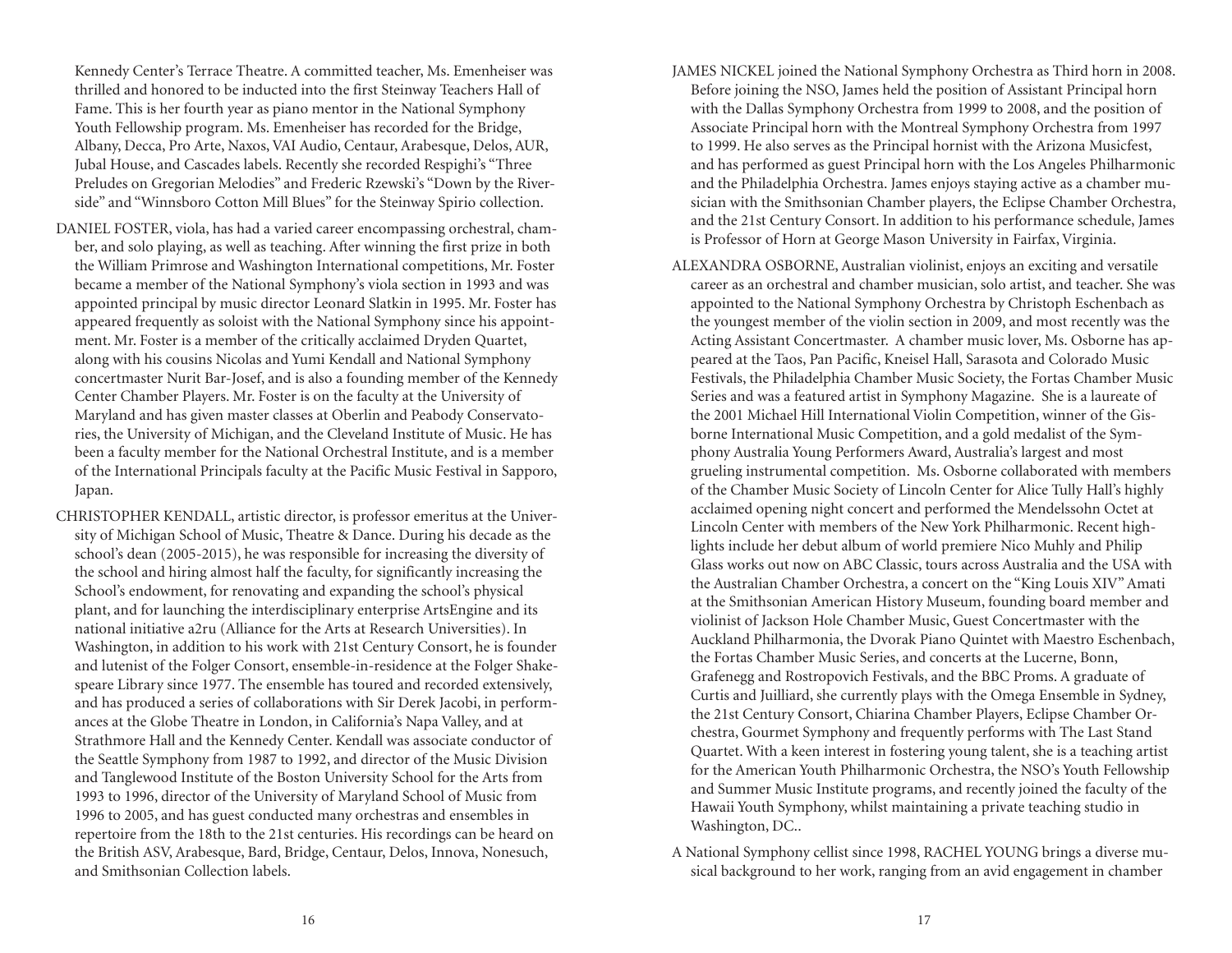Kennedy Center's Terrace Theatre. A committed teacher, Ms. Emenheiser was thrilled and honored to be inducted into the first Steinway Teachers Hall of Fame. This is her fourth year as piano mentor in the National Symphony Youth Fellowship program. Ms. Emenheiser has recorded for the Bridge, Albany, Decca, Pro Arte, Naxos, VAI Audio, Centaur, Arabesque, Delos, AUR, Jubal House, and Cascades labels. Recently she recorded Respighi's "Three Preludes on Gregorian Melodies" and Frederic Rzewski's "Down by the Riverside" and "Winnsboro Cotton Mill Blues" for the Steinway Spirio collection.

- DANIEL FOSTER, viola, has had a varied career encompassing orchestral, chamber, and solo playing, as well as teaching. After winning the first prize in both the William Primrose and Washington International competitions, Mr. Foster became a member of the National Symphony's viola section in 1993 and was appointed principal by music director Leonard Slatkin in 1995. Mr. Foster has appeared frequently as soloist with the National Symphony since his appointment. Mr. Foster is a member of the critically acclaimed Dryden Quartet, along with his cousins Nicolas and Yumi Kendall and National Symphony concertmaster Nurit Bar-Josef, and is also a founding member of the Kennedy Center Chamber Players. Mr. Foster is on the faculty at the University of Maryland and has given master classes at Oberlin and Peabody Conservatories, the University of Michigan, and the Cleveland Institute of Music. He has been a faculty member for the National Orchestral Institute, and is a member of the International Principals faculty at the Pacific Music Festival in Sapporo, Japan.
- CHRISTOPHER KENDALL, artistic director, is professor emeritus at the University of Michigan School of Music, Theatre & Dance. During his decade as the school's dean (2005-2015), he was responsible for increasing the diversity of the school and hiring almost half the faculty, for significantly increasing the School's endowment, for renovating and expanding the school's physical plant, and for launching the interdisciplinary enterprise ArtsEngine and its national initiative a2ru (Alliance for the Arts at Research Universities). In Washington, in addition to his work with 21st Century Consort, he is founder and lutenist of the Folger Consort, ensemble-in-residence at the Folger Shakespeare Library since 1977. The ensemble has toured and recorded extensively, and has produced a series of collaborations with Sir Derek Jacobi, in performances at the Globe Theatre in London, in California's Napa Valley, and at Strathmore Hall and the Kennedy Center. Kendall was associate conductor of the Seattle Symphony from 1987 to 1992, and director of the Music Division and Tanglewood Institute of the Boston University School for the Arts from 1993 to 1996, director of the University of Maryland School of Music from 1996 to 2005, and has guest conducted many orchestras and ensembles in repertoire from the 18th to the 21st centuries. His recordings can be heard on the British ASV, Arabesque, Bard, Bridge, Centaur, Delos, Innova, Nonesuch, and Smithsonian Collection labels.
- JAMES NICKEL joined the National Symphony Orchestra as Third horn in 2008. Before joining the NSO, James held the position of Assistant Principal horn with the Dallas Symphony Orchestra from 1999 to 2008, and the position of Associate Principal horn with the Montreal Symphony Orchestra from 1997 to 1999. He also serves as the Principal hornist with the Arizona Musicfest, and has performed as guest Principal horn with the Los Angeles Philharmonic and the Philadelphia Orchestra. James enjoys staying active as a chamber musician with the Smithsonian Chamber players, the Eclipse Chamber Orchestra, and the 21st Century Consort. In addition to his performance schedule, James is Professor of Horn at George Mason University in Fairfax, Virginia.
- ALEXANDRA OSBORNE, Australian violinist, enjoys an exciting and versatile career as an orchestral and chamber musician, solo artist, and teacher. She was appointed to the National Symphony Orchestra by Christoph Eschenbach as the youngest member of the violin section in 2009, and most recently was the Acting Assistant Concertmaster. A chamber music lover, Ms. Osborne has appeared at the Taos, Pan Pacific, Kneisel Hall, Sarasota and Colorado Music Festivals, the Philadelphia Chamber Music Society, the Fortas Chamber Music Series and was a featured artist in Symphony Magazine. She is a laureate of the 2001 Michael Hill International Violin Competition, winner of the Gisborne International Music Competition, and a gold medalist of the Symphony Australia Young Performers Award, Australia's largest and most grueling instrumental competition. Ms. Osborne collaborated with members of the Chamber Music Society of Lincoln Center for Alice Tully Hall's highly acclaimed opening night concert and performed the Mendelssohn Octet at Lincoln Center with members of the New York Philharmonic. Recent highlights include her debut album of world premiere Nico Muhly and Philip Glass works out now on ABC Classic, tours across Australia and the USA with the Australian Chamber Orchestra, a concert on the "King Louis XIV" Amati at the Smithsonian American History Museum, founding board member and violinist of Jackson Hole Chamber Music, Guest Concertmaster with the Auckland Philharmonia, the Dvorak Piano Quintet with Maestro Eschenbach, the Fortas Chamber Music Series, and concerts at the Lucerne, Bonn, Grafenegg and Rostropovich Festivals, and the BBC Proms. A graduate of Curtis and Juilliard, she currently plays with the Omega Ensemble in Sydney, the 21st Century Consort, Chiarina Chamber Players, Eclipse Chamber Orchestra, Gourmet Symphony and frequently performs with The Last Stand Quartet. With a keen interest in fostering young talent, she is a teaching artist for the American Youth Philharmonic Orchestra, the NSO's Youth Fellowship and Summer Music Institute programs, and recently joined the faculty of the Hawaii Youth Symphony, whilst maintaining a private teaching studio in Washington, DC..
- A National Symphony cellist since 1998, RACHEL YOUNG brings a diverse musical background to her work, ranging from an avid engagement in chamber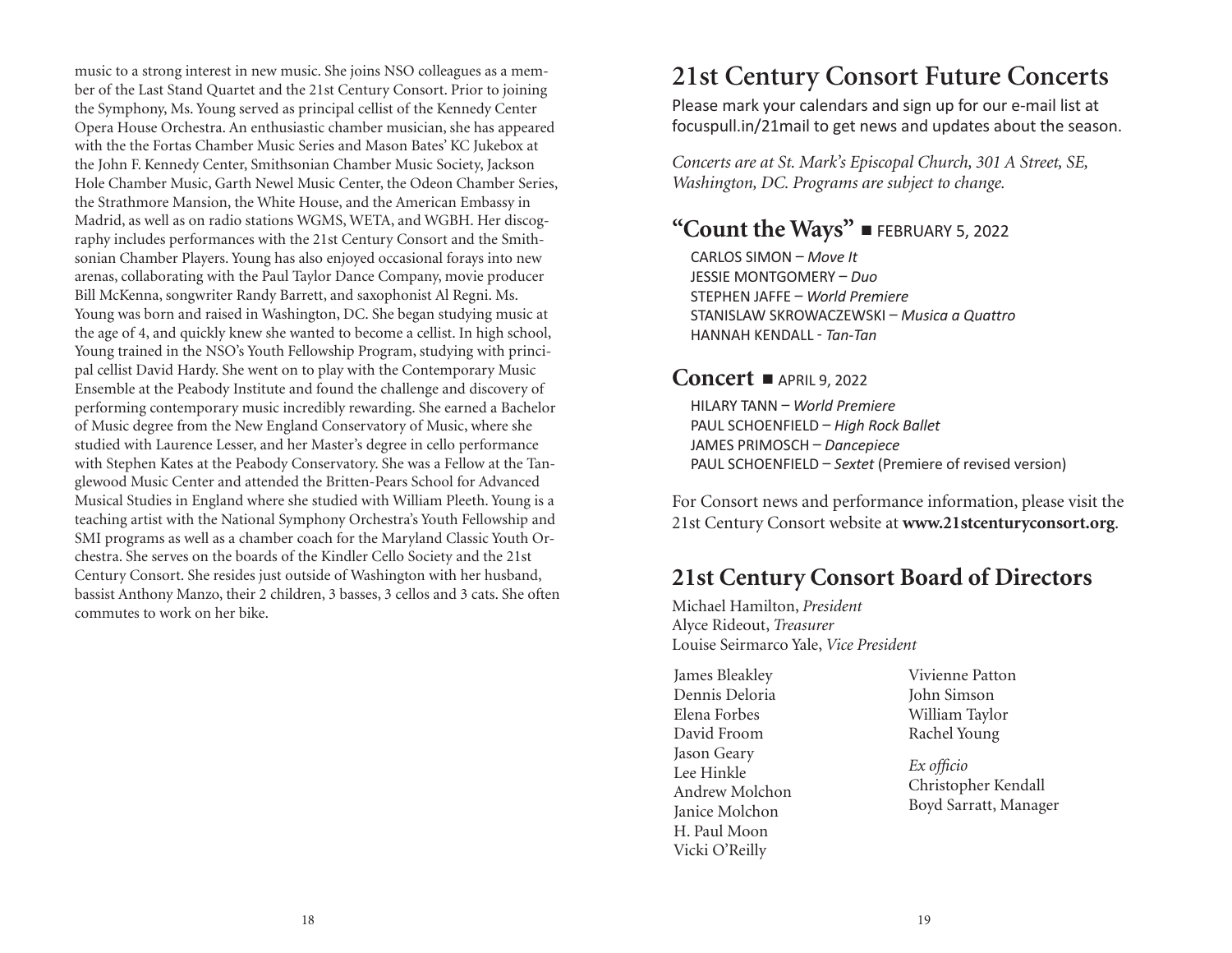music to a strong interest in new music. She joins NSO colleagues as a member of the Last Stand Quartet and the 21st Century Consort. Prior to joining the Symphony, Ms. Young served as principal cellist of the Kennedy Center Opera House Orchestra. An enthusiastic chamber musician, she has appeared with the the Fortas Chamber Music Series and Mason Bates' KC Jukebox at the John F. Kennedy Center, Smithsonian Chamber Music Society, Jackson Hole Chamber Music, Garth Newel Music Center, the Odeon Chamber Series, the Strathmore Mansion, the White House, and the American Embassy in Madrid, as well as on radio stations WGMS, WETA, and WGBH. Her discography includes performances with the 21st Century Consort and the Smithsonian Chamber Players. Young has also enjoyed occasional forays into new arenas, collaborating with the Paul Taylor Dance Company, movie producer Bill McKenna, songwriter Randy Barrett, and saxophonist Al Regni. Ms. Young was born and raised in Washington, DC. She began studying music at the age of 4, and quickly knew she wanted to become a cellist. In high school, Young trained in the NSO's Youth Fellowship Program, studying with principal cellist David Hardy. She went on to play with the Contemporary Music Ensemble at the Peabody Institute and found the challenge and discovery of performing contemporary music incredibly rewarding. She earned a Bachelor of Music degree from the New England Conservatory of Music, where she studied with Laurence Lesser, and her Master's degree in cello performance with Stephen Kates at the Peabody Conservatory. She was a Fellow at the Tanglewood Music Center and attended the Britten-Pears School for Advanced Musical Studies in England where she studied with William Pleeth. Young is a teaching artist with the National Symphony Orchestra's Youth Fellowship and SMI programs as well as a chamber coach for the Maryland Classic Youth Orchestra. She serves on the boards of the Kindler Cello Society and the 21st Century Consort. She resides just outside of Washington with her husband, bassist Anthony Manzo, their 2 children, 3 basses, 3 cellos and 3 cats. She often commutes to work on her bike.

# **21st Century Consort Future Concerts**

Please mark your calendars and sign up for our e-mail list at focuspull.in/21mail to get news and updates about the season.

*Concerts are at St. Mark's Episcopal Church, 301 A Street, SE, Washington, DC. Programs are subject to change.*

# **"Count the Ways"**  $\blacksquare$  february 5, 2022

CARLOS SIMON – *Move It* JESSIE MONTGOMERY – *Duo* STEPHEN JAFFE – *World Premiere* STANISLAW SKROWACZEWSKI – *Musica a Quattro* HANNAH KENDALL - *TanTan*

### **Concert -** APRIL 9, 2022

HILARY TANN – *World Premiere* PAUL SCHOENFIELD – *High Rock Ballet* JAMES PRIMOSCH – *Dancepiece*  PAUL SCHOENFIELD – *Sextet* (Premiere of revised version)

For Consort news and performance information, please visit the 21st Century Consort website at **www.21stcenturyconsort.org**.

# **21st Century Consort Board of Directors**

Michael Hamilton, *President* Alyce Rideout, *Treasurer*  Louise Seirmarco Yale, *Vice President*

James Bleakley Dennis Deloria Elena Forbes David Froom Jason Geary Lee Hinkle Andrew Molchon Janice Molchon H. Paul Moon Vicki O'Reilly

Vivienne Patton John Simson William Taylor Rachel Young

*Ex officio*  Christopher Kendall Boyd Sarratt, Manager